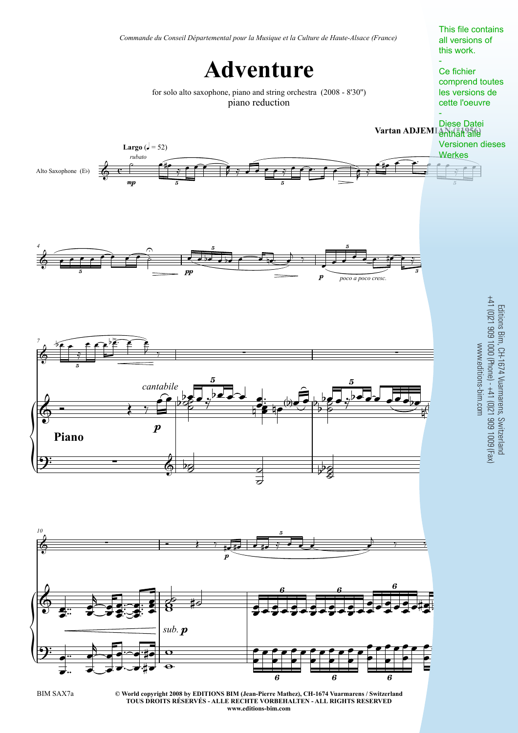

**TOUS DROITS RÉSERVÉS - ALLE RECHTE VORBEHALTEN - ALL RIGHTS RESERVED www.editions-bim.com**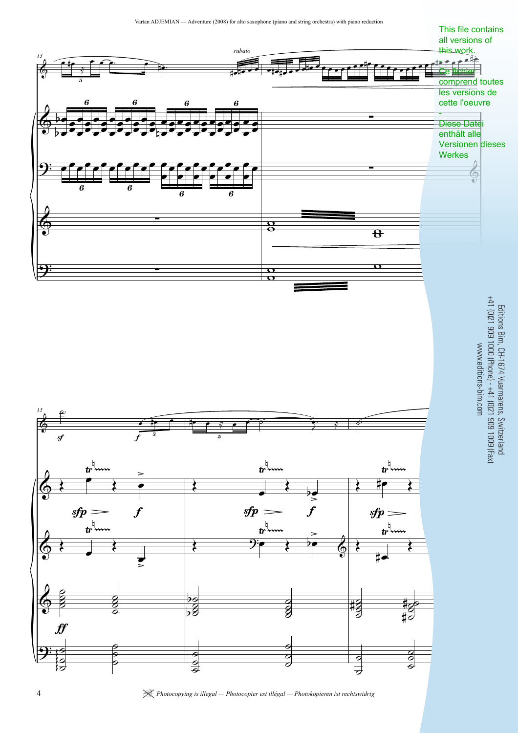

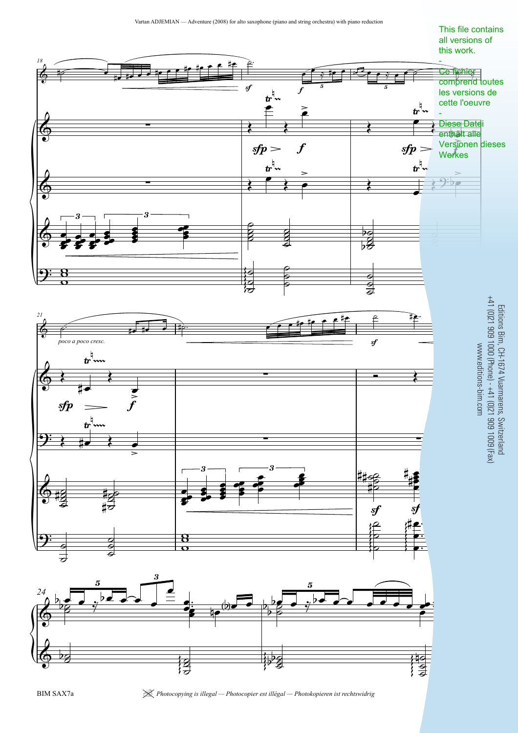



| *Photocopying is illegal — Photocopier est illégal — Photokopieren ist rechtswidrig* 5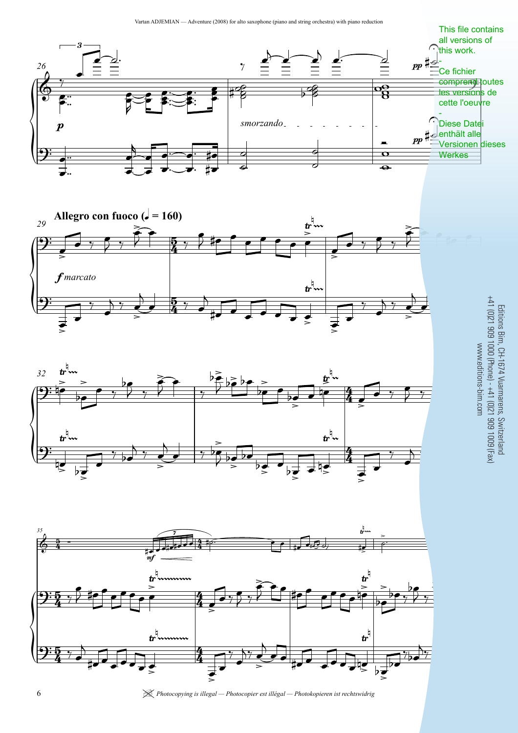





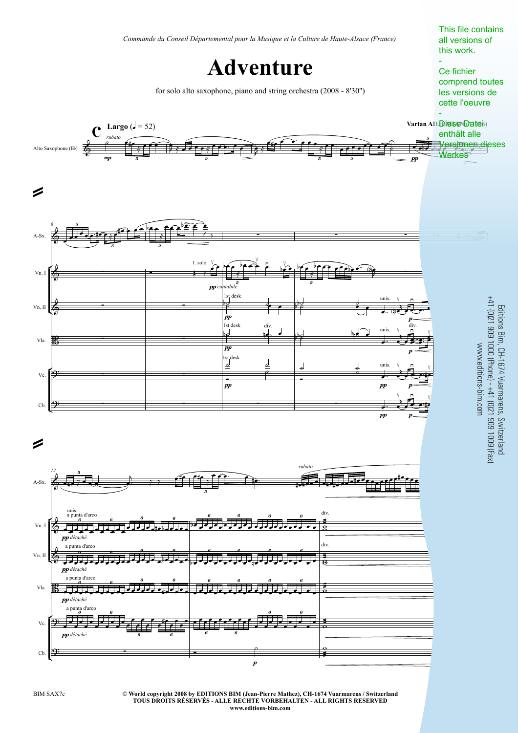

**<sup>©</sup> World copyright 2008 by EDITIONS BIM (Jean-Pierre Mathez), CH-1674 Vuarmarens / Switzerland** BIM SAX7c 3 **TOUS DROITS RÉSERVÉS - ALLE RECHTE VORBEHALTEN - ALL RIGHTS RESERVED www.editions-bim.com**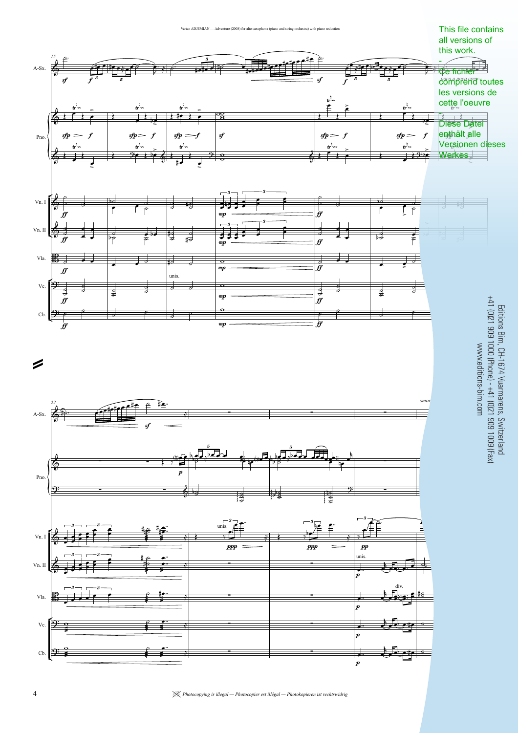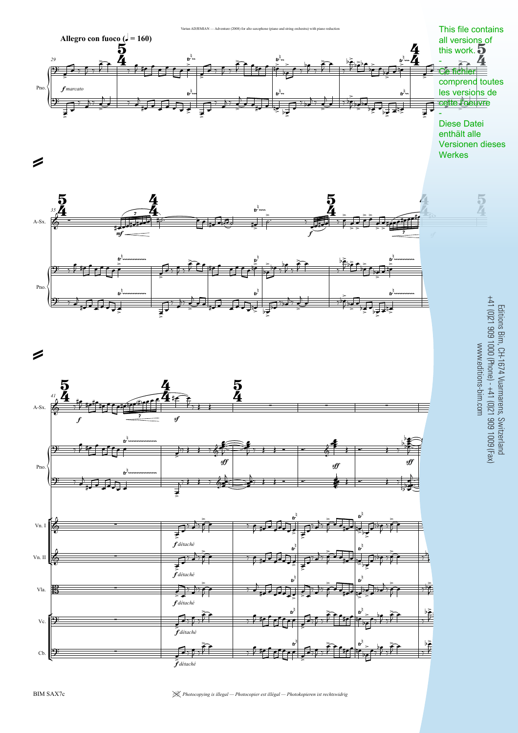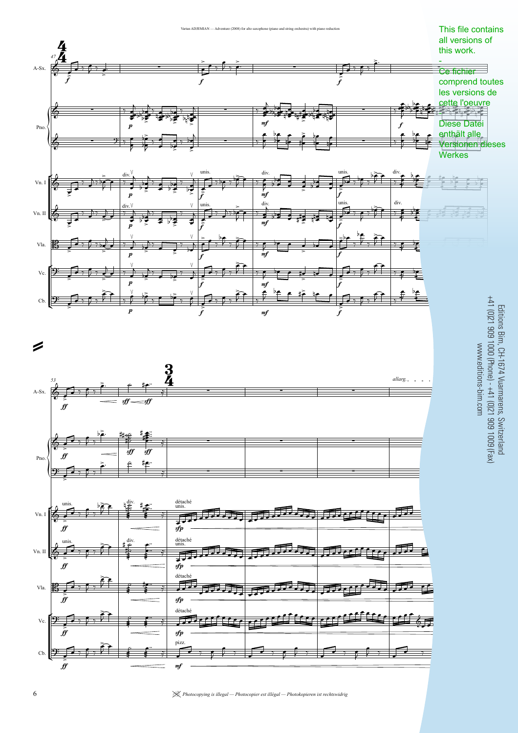

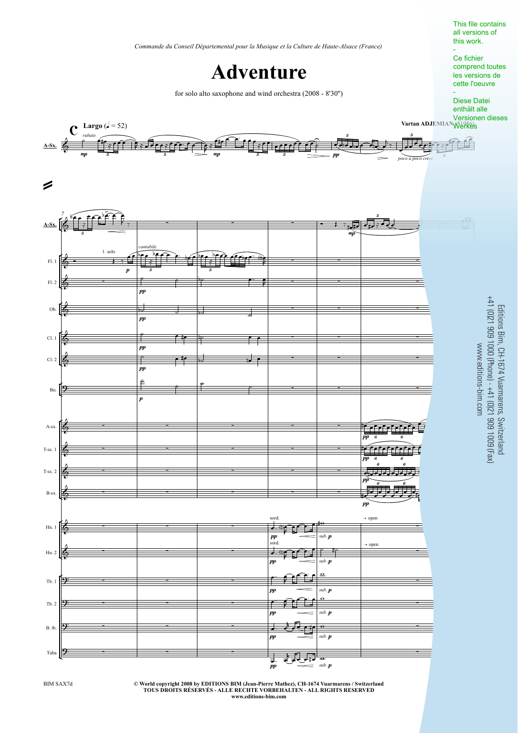*Commande du Conseil Départemental pour la Musique et la Culture de Haute-Alsace (France)*

**Adventure**

for solo alto saxophone and wind orchestra (2008 - 8'30'')

This file contains all versions of this work. -

Ce fichier comprend toutes les versions de cette l'oeuvre

- Diese Datei enthält alle Versionen dieses



**© World copyright 2008 by EDITIONS BIM (Jean-Pierre Mathez), CH-1674 Vuarmarens / Switzerland TOUS DROITS RÉSERVÉS - ALLE RECHTE VORBEHALTEN - ALL RIGHTS RESERVED www.editions-bim.com**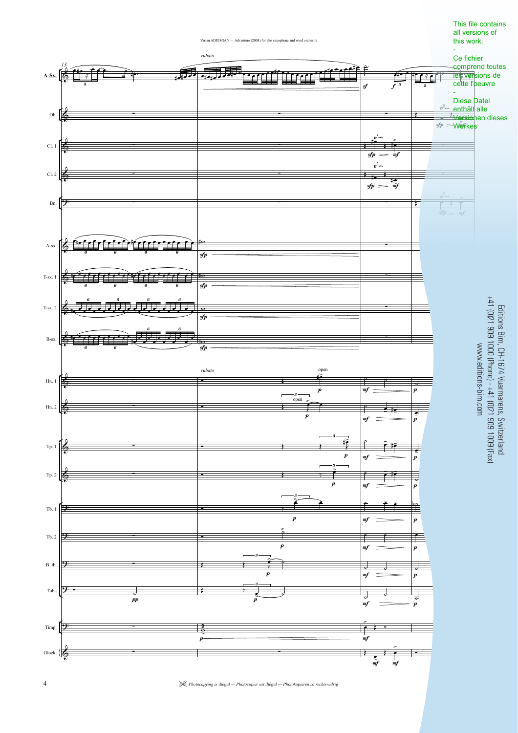

This file contains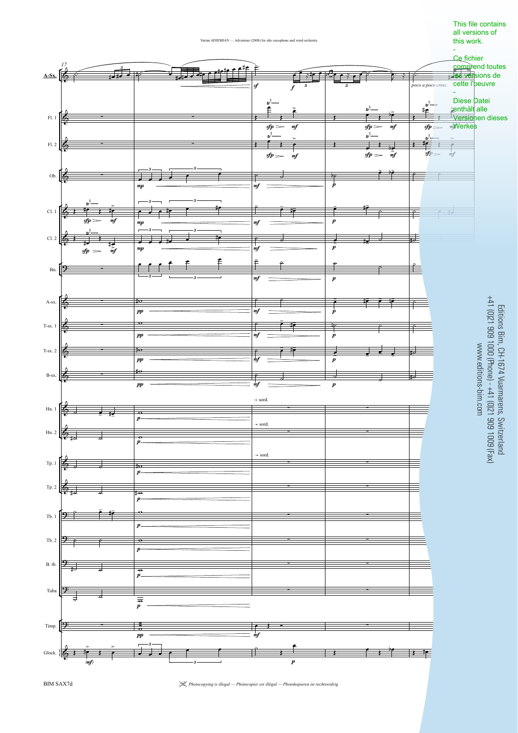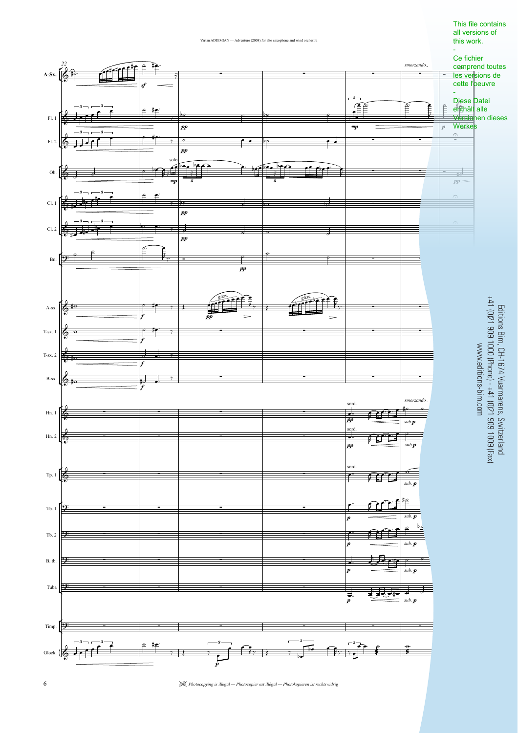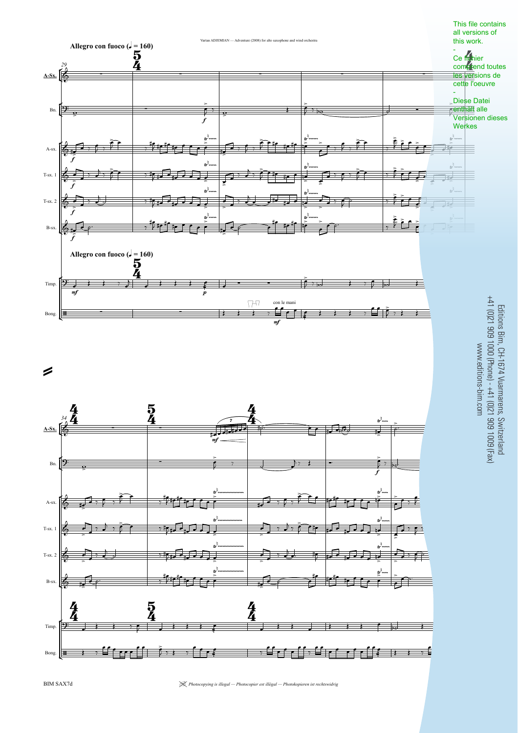

 $\lambda$   $\gamma$   $\equiv$   $\sim$   $\sim$   $\sim$   $\sim$   $\sim$  $\sum_{i=1}^{n} x_i$  $\left\{ \begin{array}{ccc} \bullet & \bullet & \bullet \\ \bullet & \bullet & \end{array} \right. \quad , \; \begin{array}{ccc} \bullet & \bullet & \bullet \\ \bullet & \bullet & \end{array} \quad , \; \begin{array}{ccc} \bullet & \bullet & \bullet \\ \bullet & \bullet & \end{array} \quad , \; \begin{array}{ccc} \bullet & \bullet & \bullet \\ \bullet & \bullet & \end{array} \quad , \; \begin{array}{ccc} \bullet & \bullet & \bullet \\ \bullet & \bullet & \end{array} \; . \; \end{array}$ ŧ

BIM SAX7d

 $\overline{\mathbf{H}}$ 

Bong.

 $\left| \cdots \right|$